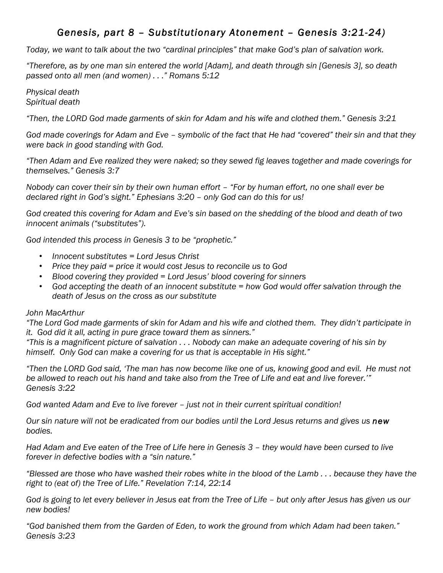# *Genesis, part 8 – Substitutionary Atonement – Genesis 3:21-24)*

*Today, we want to talk about the two "cardinal principles" that make God's plan of salvation work.*

*"Therefore, as by one man sin entered the world [Adam], and death through sin [Genesis 3], so death passed onto all men (and women) . . ." Romans 5:12*

*Physical death Spiritual death*

*"Then, the LORD God made garments of skin for Adam and his wife and clothed them." Genesis 3:21*

*God made coverings for Adam and Eve – symbolic of the fact that He had "covered" their sin and that they were back in good standing with God.*

*"Then Adam and Eve realized they were naked; so they sewed fig leaves together and made coverings for themselves." Genesis 3:7*

*Nobody can cover their sin by their own human effort – "For by human effort, no one shall ever be declared right in God's sight." Ephesians 3:20 – only God can do this for us!*

*God created this covering for Adam and Eve's sin based on the shedding of the blood and death of two innocent animals ("substitutes").*

*God intended this process in Genesis 3 to be "prophetic."*

- *Innocent substitutes = Lord Jesus Christ*
- *Price they paid = price it would cost Jesus to reconcile us to God*
- *Blood covering they provided = Lord Jesus' blood covering for sinners*
- *God accepting the death of an innocent substitute = how God would offer salvation through the death of Jesus on the cross as our substitute*

## *John MacArthur*

*"The Lord God made garments of skin for Adam and his wife and clothed them. They didn't participate in it. God did it all, acting in pure grace toward them as sinners."*

*"This is a magnificent picture of salvation . . . Nobody can make an adequate covering of his sin by himself. Only God can make a covering for us that is acceptable in His sight."*

*"Then the LORD God said, 'The man has now become like one of us, knowing good and evil. He must not be allowed to reach out his hand and take also from the Tree of Life and eat and live forever.'" Genesis 3:22*

*God wanted Adam and Eve to live forever – just not in their current spiritual condition!*

*Our sin nature will not be eradicated from our bodies until the Lord Jesus returns and gives us new bodies.*

*Had Adam and Eve eaten of the Tree of Life here in Genesis 3 – they would have been cursed to live forever in defective bodies with a "sin nature."*

*"Blessed are those who have washed their robes white in the blood of the Lamb . . . because they have the right to (eat of) the Tree of Life." Revelation 7:14, 22:14*

*God is going to let every believer in Jesus eat from the Tree of Life – but only after Jesus has given us our new bodies!*

*"God banished them from the Garden of Eden, to work the ground from which Adam had been taken." Genesis 3:23*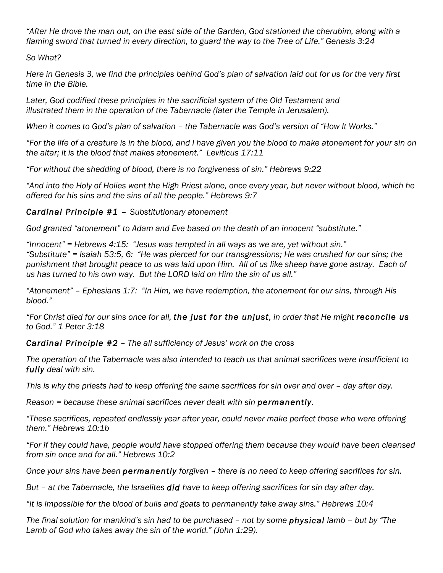*"After He drove the man out, on the east side of the Garden, God stationed the cherubim, along with a flaming sword that turned in every direction, to guard the way to the Tree of Life." Genesis 3:24*

## *So What?*

*Here in Genesis 3, we find the principles behind God's plan of salvation laid out for us for the very first time in the Bible.*

*Later, God codified these principles in the sacrificial system of the Old Testament and illustrated them in the operation of the Tabernacle (later the Temple in Jerusalem).*

*When it comes to God's plan of salvation – the Tabernacle was God's version of "How It Works."*

*"For the life of a creature is in the blood, and I have given you the blood to make atonement for your sin on the altar; it is the blood that makes atonement." Leviticus 17:11*

*"For without the shedding of blood, there is no forgiveness of sin." Hebrews 9:22*

*"And into the Holy of Holies went the High Priest alone, once every year, but never without blood, which he offered for his sins and the sins of all the people." Hebrews 9:7*

### *Cardinal Principle #1 – Substitutionary atonement*

*God granted "atonement" to Adam and Eve based on the death of an innocent "substitute."*

*"Innocent" = Hebrews 4:15: "Jesus was tempted in all ways as we are, yet without sin." "Substitute" = Isaiah 53:5, 6: "He was pierced for our transgressions; He was crushed for our sins; the punishment that brought peace to us was laid upon Him. All of us like sheep have gone astray. Each of us has turned to his own way. But the LORD laid on Him the sin of us all."*

*"Atonement" – Ephesians 1:7: "In Him, we have redemption, the atonement for our sins, through His blood."*

*"For Christ died for our sins once for all, the just for the unjust, in order that He might reconcile us to God." 1 Peter 3:18* 

*Cardinal Principle #2 – The all sufficiency of Jesus' work on the cross*

*The operation of the Tabernacle was also intended to teach us that animal sacrifices were insufficient to fully deal with sin.*

*This is why the priests had to keep offering the same sacrifices for sin over and over – day after day.*

*Reason = because these animal sacrifices never dealt with sin permanently.*

*"These sacrifices, repeated endlessly year after year, could never make perfect those who were offering them." Hebrews 10:1b*

*"For if they could have, people would have stopped offering them because they would have been cleansed from sin once and for all." Hebrews 10:2*

*Once your sins have been permanently forgiven – there is no need to keep offering sacrifices for sin.*

*But – at the Tabernacle, the Israelites did have to keep offering sacrifices for sin day after day.*

*"It is impossible for the blood of bulls and goats to permanently take away sins." Hebrews 10:4*

*The final solution for mankind's sin had to be purchased – not by some physical lamb – but by "The Lamb of God who takes away the sin of the world." (John 1:29).*